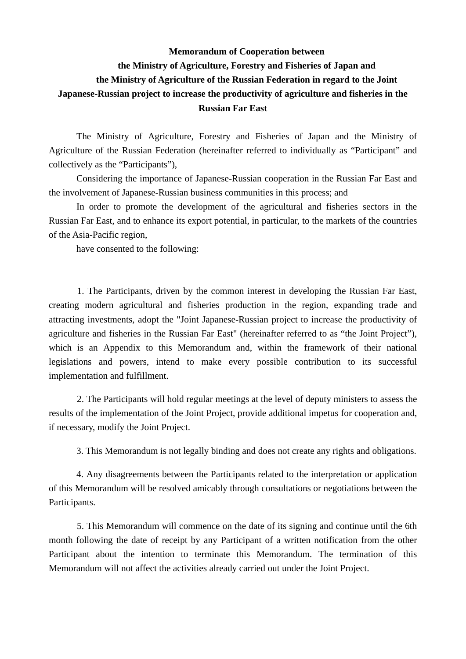## **Memorandum of Cooperation between the Ministry of Agriculture, Forestry and Fisheries of Japan and the Ministry of Agriculture of the Russian Federation in regard to the Joint Japanese-Russian project to increase the productivity of agriculture and fisheries in the Russian Far East**

The Ministry of Agriculture, Forestry and Fisheries of Japan and the Ministry of Agriculture of the Russian Federation (hereinafter referred to individually as "Participant" and collectively as the "Participants"),

Considering the importance of Japanese-Russian cooperation in the Russian Far East and the involvement of Japanese-Russian business communities in this process; and

In order to promote the development of the agricultural and fisheries sectors in the Russian Far East, and to enhance its export potential, in particular, to the markets of the countries of the Asia-Pacific region,

have consented to the following:

 1. The Participants, driven by the common interest in developing the Russian Far East, creating modern agricultural and fisheries production in the region, expanding trade and attracting investments, adopt the "Joint Japanese-Russian project to increase the productivity of agriculture and fisheries in the Russian Far East" (hereinafter referred to as "the Joint Project"), which is an Appendix to this Memorandum and, within the framework of their national legislations and powers, intend to make every possible contribution to its successful implementation and fulfillment.

 2. The Participants will hold regular meetings at the level of deputy ministers to assess the results of the implementation of the Joint Project, provide additional impetus for cooperation and, if necessary, modify the Joint Project.

3. This Memorandum is not legally binding and does not create any rights and obligations.

4. Any disagreements between the Participants related to the interpretation or application of this Memorandum will be resolved amicably through consultations or negotiations between the Participants.

 5. This Memorandum will commence on the date of its signing and continue until the 6th month following the date of receipt by any Participant of a written notification from the other Participant about the intention to terminate this Memorandum. The termination of this Memorandum will not affect the activities already carried out under the Joint Project.